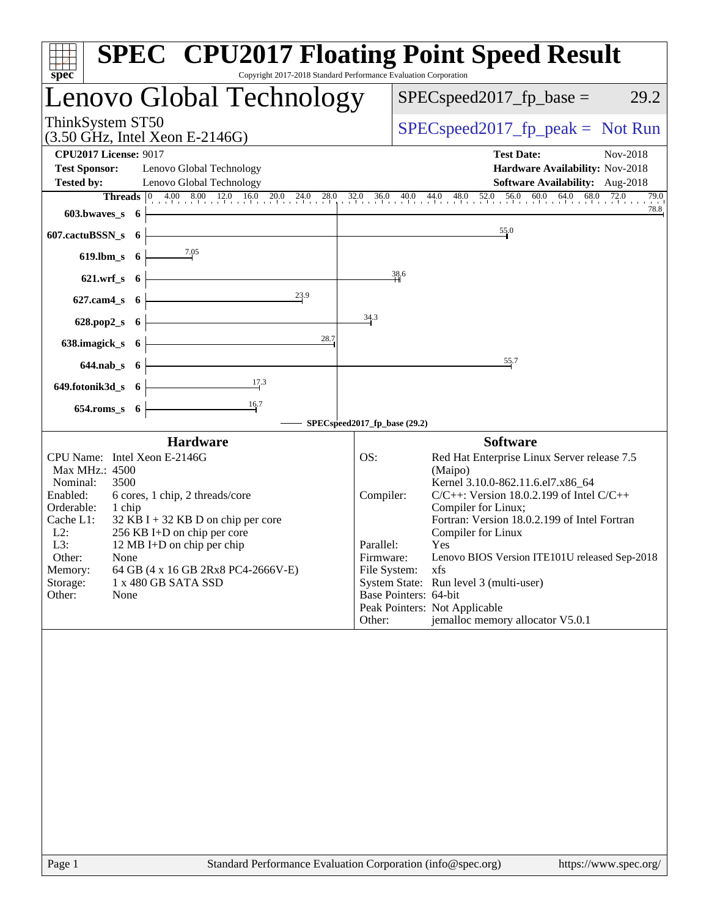| Copyright 2017-2018 Standard Performance Evaluation Corporation<br>spec <sup>®</sup>                                                                                                                                                                                                                                                                                                                                    | <b>SPEC<sup>®</sup> CPU2017 Floating Point Speed Result</b>                                                                                                                                                                                                                                                                                                                                                                                                                                                                                 |
|-------------------------------------------------------------------------------------------------------------------------------------------------------------------------------------------------------------------------------------------------------------------------------------------------------------------------------------------------------------------------------------------------------------------------|---------------------------------------------------------------------------------------------------------------------------------------------------------------------------------------------------------------------------------------------------------------------------------------------------------------------------------------------------------------------------------------------------------------------------------------------------------------------------------------------------------------------------------------------|
| Lenovo Global Technology                                                                                                                                                                                                                                                                                                                                                                                                | $SPEC speed2017_fp\_base =$<br>29.2                                                                                                                                                                                                                                                                                                                                                                                                                                                                                                         |
| ThinkSystem ST50<br>$(3.50 \text{ GHz}, \text{Intel Xeon E-2146G})$                                                                                                                                                                                                                                                                                                                                                     | $SPEC speed2017fr peak = Not Run$                                                                                                                                                                                                                                                                                                                                                                                                                                                                                                           |
| <b>CPU2017 License: 9017</b><br><b>Test Sponsor:</b><br>Lenovo Global Technology                                                                                                                                                                                                                                                                                                                                        | <b>Test Date:</b><br>Nov-2018<br>Hardware Availability: Nov-2018                                                                                                                                                                                                                                                                                                                                                                                                                                                                            |
| <b>Tested by:</b><br>Lenovo Global Technology<br>603.bwaves_s 6                                                                                                                                                                                                                                                                                                                                                         | Software Availability: Aug-2018<br><b>Threads</b> $\begin{bmatrix} 0 & 4.00 & 8.00 & 12.0 & 16.0 & 20.0 & 24.0 & 28.0 & 32.0 & 36.0 & 40.0 & 44.0 & 48.0 & 52.0 & 56.0 & 60.0 & 64.0 & 68.0 & 72.0 \\ \end{bmatrix}$<br>79.0<br>78.8                                                                                                                                                                                                                                                                                                        |
| 607.cactuBSSN_s<br>- 6                                                                                                                                                                                                                                                                                                                                                                                                  | 55.0                                                                                                                                                                                                                                                                                                                                                                                                                                                                                                                                        |
| 7.05<br>619.lbm_s 6                                                                                                                                                                                                                                                                                                                                                                                                     |                                                                                                                                                                                                                                                                                                                                                                                                                                                                                                                                             |
| $621.wrf$ <sub>S</sub><br>- 6                                                                                                                                                                                                                                                                                                                                                                                           | 38.6                                                                                                                                                                                                                                                                                                                                                                                                                                                                                                                                        |
| 23.9<br>$627$ .cam $4s$<br>- 6                                                                                                                                                                                                                                                                                                                                                                                          |                                                                                                                                                                                                                                                                                                                                                                                                                                                                                                                                             |
| 628.pop2_s<br>- 6                                                                                                                                                                                                                                                                                                                                                                                                       | 34.3                                                                                                                                                                                                                                                                                                                                                                                                                                                                                                                                        |
| 28.7<br>638.imagick_s<br>- 6                                                                                                                                                                                                                                                                                                                                                                                            |                                                                                                                                                                                                                                                                                                                                                                                                                                                                                                                                             |
| $644$ .nab $s$ 6                                                                                                                                                                                                                                                                                                                                                                                                        | 55.7                                                                                                                                                                                                                                                                                                                                                                                                                                                                                                                                        |
| 17.3<br>649.fotonik3d_s 6                                                                                                                                                                                                                                                                                                                                                                                               |                                                                                                                                                                                                                                                                                                                                                                                                                                                                                                                                             |
| $\frac{16.7}{2}$<br>$654$ .roms_s $6$                                                                                                                                                                                                                                                                                                                                                                                   |                                                                                                                                                                                                                                                                                                                                                                                                                                                                                                                                             |
|                                                                                                                                                                                                                                                                                                                                                                                                                         | SPECspeed2017_fp_base (29.2)                                                                                                                                                                                                                                                                                                                                                                                                                                                                                                                |
| <b>Hardware</b><br>CPU Name: Intel Xeon E-2146G<br>Max MHz.: 4500<br>Nominal:<br>3500<br>Enabled:<br>6 cores, 1 chip, 2 threads/core<br>Orderable:<br>1 chip<br>Cache L1:<br>$32$ KB I + 32 KB D on chip per core<br>$L2$ :<br>256 KB I+D on chip per core<br>L3:<br>12 MB I+D on chip per chip<br>Other:<br>None<br>64 GB (4 x 16 GB 2Rx8 PC4-2666V-E)<br>Memory:<br>Storage:<br>1 x 480 GB SATA SSD<br>Other:<br>None | <b>Software</b><br>OS:<br>Red Hat Enterprise Linux Server release 7.5<br>(Maipo)<br>Kernel 3.10.0-862.11.6.el7.x86_64<br>$C/C++$ : Version 18.0.2.199 of Intel $C/C++$<br>Compiler:<br>Compiler for Linux;<br>Fortran: Version 18.0.2.199 of Intel Fortran<br>Compiler for Linux<br>Parallel:<br>Yes<br>Lenovo BIOS Version ITE101U released Sep-2018<br>Firmware:<br>File System:<br>xfs<br>System State: Run level 3 (multi-user)<br>Base Pointers: 64-bit<br>Peak Pointers: Not Applicable<br>jemalloc memory allocator V5.0.1<br>Other: |
| Standard Performance Evaluation Corporation (info@spec.org)<br>Page 1                                                                                                                                                                                                                                                                                                                                                   | https://www.spec.org/                                                                                                                                                                                                                                                                                                                                                                                                                                                                                                                       |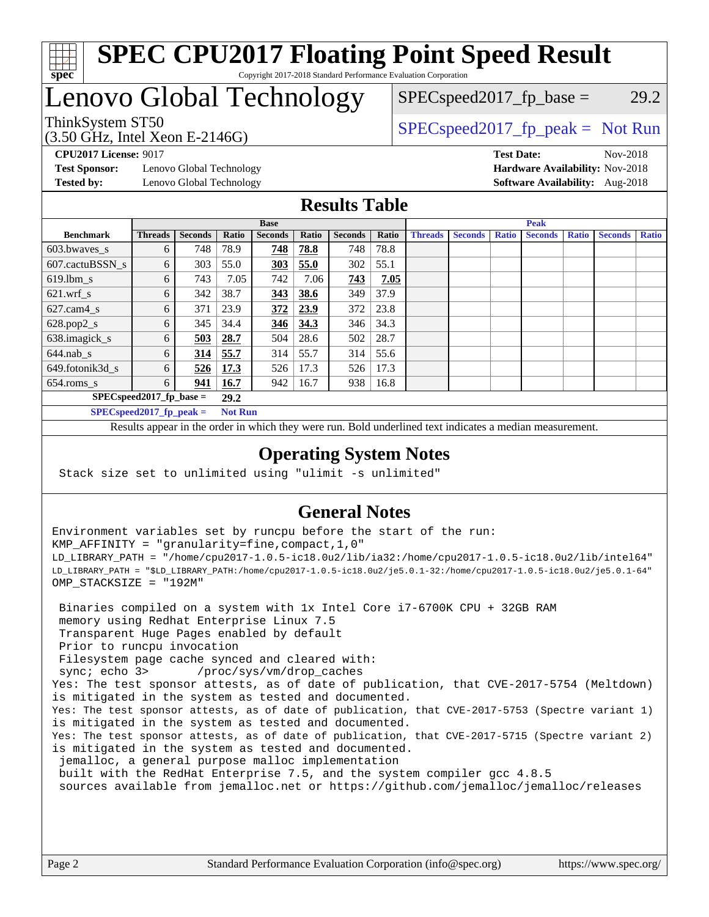

#### **[SPEC CPU2017 Floating Point Speed Result](http://www.spec.org/auto/cpu2017/Docs/result-fields.html#SPECCPU2017FloatingPointSpeedResult)** Copyright 2017-2018 Standard Performance Evaluation Corporation

## Lenovo Global Technology

(3.50 GHz, Intel Xeon E-2146G)

ThinkSystem ST50  $SPEC speed2017$  [p\_peak = Not Run

 $SPEC speed2017_fp\_base = 29.2$ 

**[Test Sponsor:](http://www.spec.org/auto/cpu2017/Docs/result-fields.html#TestSponsor)** Lenovo Global Technology **[Hardware Availability:](http://www.spec.org/auto/cpu2017/Docs/result-fields.html#HardwareAvailability)** Nov-2018 **[Tested by:](http://www.spec.org/auto/cpu2017/Docs/result-fields.html#Testedby)** Lenovo Global Technology **[Software Availability:](http://www.spec.org/auto/cpu2017/Docs/result-fields.html#SoftwareAvailability)** Aug-2018

**[CPU2017 License:](http://www.spec.org/auto/cpu2017/Docs/result-fields.html#CPU2017License)** 9017 **[Test Date:](http://www.spec.org/auto/cpu2017/Docs/result-fields.html#TestDate)** Nov-2018

#### **[Results Table](http://www.spec.org/auto/cpu2017/Docs/result-fields.html#ResultsTable)**

|                                    | <b>Base</b>                |                |                |                | <b>Peak</b> |                |       |                |                |              |                |              |                |              |
|------------------------------------|----------------------------|----------------|----------------|----------------|-------------|----------------|-------|----------------|----------------|--------------|----------------|--------------|----------------|--------------|
| <b>Benchmark</b>                   | <b>Threads</b>             | <b>Seconds</b> | Ratio          | <b>Seconds</b> | Ratio       | <b>Seconds</b> | Ratio | <b>Threads</b> | <b>Seconds</b> | <b>Ratio</b> | <b>Seconds</b> | <b>Ratio</b> | <b>Seconds</b> | <b>Ratio</b> |
| 603.bwayes s                       | 6                          | 748            | 78.9           | 748            | 78.8        | 748            | 78.8  |                |                |              |                |              |                |              |
| 607.cactuBSSN s                    | 6                          | 303            | 55.0           | <u>303</u>     | 55.0        | 302            | 55.1  |                |                |              |                |              |                |              |
| $619.$ lbm s                       | 6                          | 743            | 7.05           | 742            | 7.06        | 743            | 7.05  |                |                |              |                |              |                |              |
| $621.wrf$ s                        | 6                          | 342            | 38.7           | 343            | 38.6        | 349            | 37.9  |                |                |              |                |              |                |              |
| $627$ .cam $4$ <sub>s</sub>        | 6                          | 371            | 23.9           | 372            | 23.9        | 372            | 23.8  |                |                |              |                |              |                |              |
| $628.pop2_s$                       | 6                          | 345            | 34.4           | 346            | 34.3        | 346            | 34.3  |                |                |              |                |              |                |              |
| 638.imagick_s                      | 6                          | 503            | 28.7           | 504            | 28.6        | 502            | 28.7  |                |                |              |                |              |                |              |
| $644$ .nab s                       | 6                          | 314            | 55.7           | 314            | 55.7        | 314            | 55.6  |                |                |              |                |              |                |              |
| 649.fotonik3d s                    | 6                          | 526            | <u>17.3</u>    | 526            | 17.3        | 526            | 17.3  |                |                |              |                |              |                |              |
| $654$ .roms s                      | 6                          | 941            | <b>16.7</b>    | 942            | 16.7        | 938            | 16.8  |                |                |              |                |              |                |              |
| $SPEC speed2017$ fp base =<br>29.2 |                            |                |                |                |             |                |       |                |                |              |                |              |                |              |
|                                    | $SPECspeed2017_fp\_peak =$ |                | <b>Not Run</b> |                |             |                |       |                |                |              |                |              |                |              |

Results appear in the [order in which they were run.](http://www.spec.org/auto/cpu2017/Docs/result-fields.html#RunOrder) Bold underlined text [indicates a median measurement](http://www.spec.org/auto/cpu2017/Docs/result-fields.html#Median).

#### **[Operating System Notes](http://www.spec.org/auto/cpu2017/Docs/result-fields.html#OperatingSystemNotes)**

Stack size set to unlimited using "ulimit -s unlimited"

### **[General Notes](http://www.spec.org/auto/cpu2017/Docs/result-fields.html#GeneralNotes)**

Environment variables set by runcpu before the start of the run: KMP\_AFFINITY = "granularity=fine,compact,1,0" LD\_LIBRARY\_PATH = "/home/cpu2017-1.0.5-ic18.0u2/lib/ia32:/home/cpu2017-1.0.5-ic18.0u2/lib/intel64" LD\_LIBRARY\_PATH = "\$LD\_LIBRARY\_PATH:/home/cpu2017-1.0.5-ic18.0u2/je5.0.1-32:/home/cpu2017-1.0.5-ic18.0u2/je5.0.1-64" OMP\_STACKSIZE = "192M"

 Binaries compiled on a system with 1x Intel Core i7-6700K CPU + 32GB RAM memory using Redhat Enterprise Linux 7.5 Transparent Huge Pages enabled by default Prior to runcpu invocation Filesystem page cache synced and cleared with: sync; echo 3> /proc/sys/vm/drop\_caches Yes: The test sponsor attests, as of date of publication, that CVE-2017-5754 (Meltdown) is mitigated in the system as tested and documented. Yes: The test sponsor attests, as of date of publication, that CVE-2017-5753 (Spectre variant 1) is mitigated in the system as tested and documented. Yes: The test sponsor attests, as of date of publication, that CVE-2017-5715 (Spectre variant 2) is mitigated in the system as tested and documented. jemalloc, a general purpose malloc implementation built with the RedHat Enterprise 7.5, and the system compiler gcc 4.8.5 sources available from jemalloc.net or <https://github.com/jemalloc/jemalloc/releases>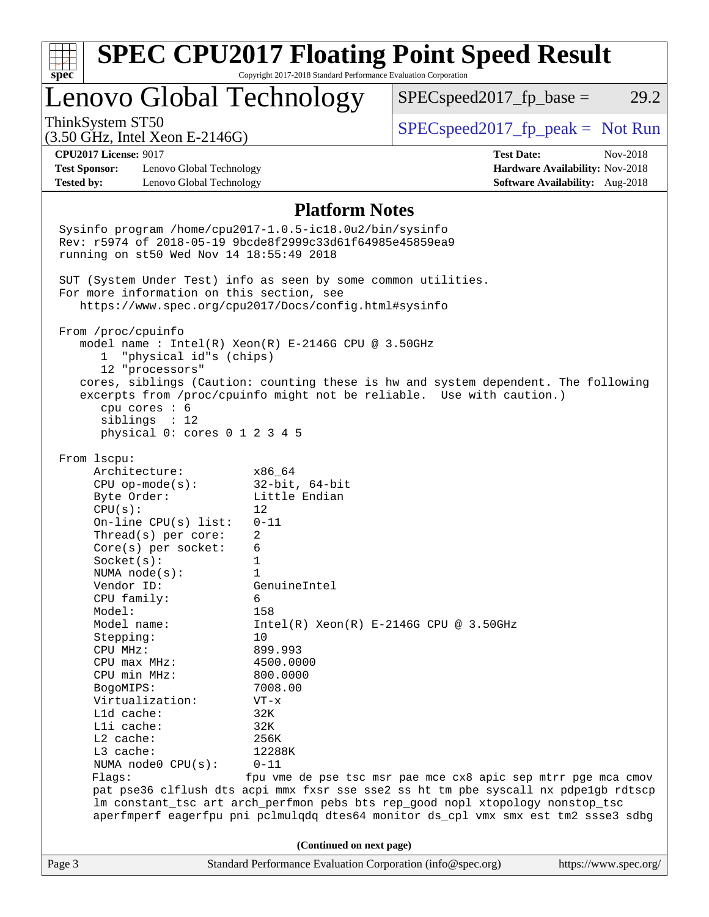| <b>SPEC CPU2017 Floating Point Speed Result</b><br>Copyright 2017-2018 Standard Performance Evaluation Corporation                                                                                                                                                                                                                                                                                                |                                                                                                                                                                                                                                |                                                                                                                                                                                                  |                                                                                |  |  |  |
|-------------------------------------------------------------------------------------------------------------------------------------------------------------------------------------------------------------------------------------------------------------------------------------------------------------------------------------------------------------------------------------------------------------------|--------------------------------------------------------------------------------------------------------------------------------------------------------------------------------------------------------------------------------|--------------------------------------------------------------------------------------------------------------------------------------------------------------------------------------------------|--------------------------------------------------------------------------------|--|--|--|
| spec <sup>®</sup><br>Lenovo Global Technology                                                                                                                                                                                                                                                                                                                                                                     |                                                                                                                                                                                                                                | $SPEC speed2017fp base =$                                                                                                                                                                        | 29.2                                                                           |  |  |  |
| ThinkSystem ST50<br>$(3.50 \text{ GHz}, \text{Intel Xeon E-2146G})$                                                                                                                                                                                                                                                                                                                                               |                                                                                                                                                                                                                                | $SPEC speed2017fr peak = Not Run$                                                                                                                                                                |                                                                                |  |  |  |
| <b>CPU2017 License: 9017</b><br><b>Test Sponsor:</b><br>Lenovo Global Technology<br><b>Tested by:</b><br>Lenovo Global Technology                                                                                                                                                                                                                                                                                 |                                                                                                                                                                                                                                | <b>Test Date:</b>                                                                                                                                                                                | Nov-2018<br>Hardware Availability: Nov-2018<br>Software Availability: Aug-2018 |  |  |  |
|                                                                                                                                                                                                                                                                                                                                                                                                                   | <b>Platform Notes</b>                                                                                                                                                                                                          |                                                                                                                                                                                                  |                                                                                |  |  |  |
| Sysinfo program /home/cpu2017-1.0.5-ic18.0u2/bin/sysinfo<br>Rev: r5974 of 2018-05-19 9bcde8f2999c33d61f64985e45859ea9<br>running on st50 Wed Nov 14 18:55:49 2018                                                                                                                                                                                                                                                 |                                                                                                                                                                                                                                |                                                                                                                                                                                                  |                                                                                |  |  |  |
| SUT (System Under Test) info as seen by some common utilities.<br>For more information on this section, see<br>https://www.spec.org/cpu2017/Docs/config.html#sysinfo                                                                                                                                                                                                                                              |                                                                                                                                                                                                                                |                                                                                                                                                                                                  |                                                                                |  |  |  |
| From /proc/cpuinfo<br>model name : Intel(R) Xeon(R) E-2146G CPU @ 3.50GHz<br>1 "physical id"s (chips)<br>12 "processors"                                                                                                                                                                                                                                                                                          |                                                                                                                                                                                                                                |                                                                                                                                                                                                  |                                                                                |  |  |  |
| cores, siblings (Caution: counting these is hw and system dependent. The following<br>excerpts from /proc/cpuinfo might not be reliable. Use with caution.)<br>cpu cores : 6<br>siblings : 12<br>physical 0: cores 0 1 2 3 4 5                                                                                                                                                                                    |                                                                                                                                                                                                                                |                                                                                                                                                                                                  |                                                                                |  |  |  |
| Architecture:<br>$CPU$ op-mode( $s$ ):<br>Byte Order:<br>CPU(s):<br>On-line CPU(s) list:<br>Thread(s) per core:<br>$Core(s)$ per socket:<br>Socket(s):<br>NUMA $node(s)$ :<br>Vendor ID:<br>CPU family:<br>Model:<br>Model name:<br>Stepping:<br>CPU MHz:<br>CPU max MHz:<br>CPU min MHz:<br>BogoMIPS:<br>Virtualization:<br>Lld cache:<br>Lli cache:<br>$L2$ cache:<br>L3 cache:<br>NUMA node0 CPU(s):<br>Flags: | x86 64<br>$32$ -bit, $64$ -bit<br>Little Endian<br>12<br>$0 - 11$<br>2<br>6<br>1<br>1<br>GenuineIntel<br>6<br>158<br>10<br>899.993<br>4500.0000<br>800,0000<br>7008.00<br>$VT - x$<br>32K<br>32K<br>256K<br>12288K<br>$0 - 11$ | $Intel(R) Xeon(R) E-2146G CPU @ 3.50GHz$<br>fpu vme de pse tsc msr pae mce cx8 apic sep mtrr pge mca cmov<br>pat pse36 clflush dts acpi mmx fxsr sse sse2 ss ht tm pbe syscall nx pdpelgb rdtscp |                                                                                |  |  |  |
| lm constant_tsc art arch_perfmon pebs bts rep_good nopl xtopology nonstop_tsc<br>aperfmperf eagerfpu pni pclmulqdq dtes64 monitor ds_cpl vmx smx est tm2 ssse3 sdbg                                                                                                                                                                                                                                               |                                                                                                                                                                                                                                |                                                                                                                                                                                                  |                                                                                |  |  |  |
| Page 3                                                                                                                                                                                                                                                                                                                                                                                                            | (Continued on next page)                                                                                                                                                                                                       | Standard Performance Evaluation Corporation (info@spec.org)                                                                                                                                      | https://www.spec.org/                                                          |  |  |  |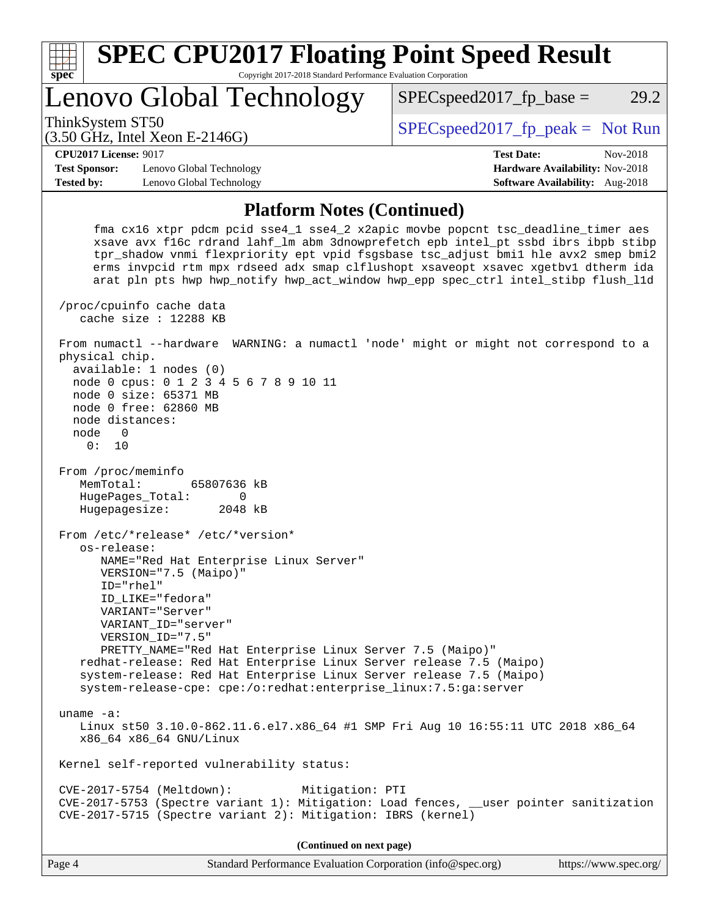| <b>SPEC CPU2017 Floating Point Speed Result</b><br>spec <sup>®</sup><br>Copyright 2017-2018 Standard Performance Evaluation Corporation |                                                                                   |                                   |                                        |          |  |  |  |
|-----------------------------------------------------------------------------------------------------------------------------------------|-----------------------------------------------------------------------------------|-----------------------------------|----------------------------------------|----------|--|--|--|
|                                                                                                                                         | Lenovo Global Technology                                                          | $SPEC speed2017$ _fp_base =       |                                        | 29.2     |  |  |  |
| ThinkSystem ST50                                                                                                                        | $(3.50 \text{ GHz}, \text{Intel Xeon E-2146G})$                                   | $SPEC speed2017fr peak = Not Run$ |                                        |          |  |  |  |
| <b>CPU2017 License: 9017</b>                                                                                                            |                                                                                   |                                   | <b>Test Date:</b>                      | Nov-2018 |  |  |  |
| <b>Test Sponsor:</b>                                                                                                                    | Lenovo Global Technology                                                          |                                   | Hardware Availability: Nov-2018        |          |  |  |  |
| <b>Tested by:</b>                                                                                                                       | Lenovo Global Technology                                                          |                                   | <b>Software Availability:</b> Aug-2018 |          |  |  |  |
| <b>Platform Notes (Continued)</b><br>fma cx16 xtpr pdcm pcid sse4_1 sse4_2 x2apic movbe popcnt tsc_deadline_timer aes                   |                                                                                   |                                   |                                        |          |  |  |  |
|                                                                                                                                         | xsave avx f16c rdrand lahf lm abm 3dnowprefetch epb intel pt ssbd ibrs ibpb stibp |                                   |                                        |          |  |  |  |

 xsave avx f16c rdrand lahf\_lm abm 3dnowprefetch epb intel\_pt ssbd ibrs ibpb stibp tpr\_shadow vnmi flexpriority ept vpid fsgsbase tsc\_adjust bmi1 hle avx2 smep bmi2 erms invpcid rtm mpx rdseed adx smap clflushopt xsaveopt xsavec xgetbv1 dtherm ida arat pln pts hwp hwp\_notify hwp\_act\_window hwp\_epp spec\_ctrl intel\_stibp flush\_l1d /proc/cpuinfo cache data cache size : 12288 KB From numactl --hardware WARNING: a numactl 'node' might or might not correspond to a physical chip. available: 1 nodes (0) node 0 cpus: 0 1 2 3 4 5 6 7 8 9 10 11 node 0 size: 65371 MB node 0 free: 62860 MB node distances: node 0 0: 10 From /proc/meminfo MemTotal: 65807636 kB HugePages\_Total: 0 Hugepagesize: 2048 kB From /etc/\*release\* /etc/\*version\* os-release: NAME="Red Hat Enterprise Linux Server" VERSION="7.5 (Maipo)" ID="rhel" ID\_LIKE="fedora" VARIANT="Server" VARIANT\_ID="server" VERSION\_ID="7.5" PRETTY\_NAME="Red Hat Enterprise Linux Server 7.5 (Maipo)" redhat-release: Red Hat Enterprise Linux Server release 7.5 (Maipo) system-release: Red Hat Enterprise Linux Server release 7.5 (Maipo) system-release-cpe: cpe:/o:redhat:enterprise\_linux:7.5:ga:server uname -a: Linux st50 3.10.0-862.11.6.el7.x86\_64 #1 SMP Fri Aug 10 16:55:11 UTC 2018 x86\_64 x86\_64 x86\_64 GNU/Linux Kernel self-reported vulnerability status: CVE-2017-5754 (Meltdown): Mitigation: PTI CVE-2017-5753 (Spectre variant 1): Mitigation: Load fences, \_\_user pointer sanitization CVE-2017-5715 (Spectre variant 2): Mitigation: IBRS (kernel) **(Continued on next page)**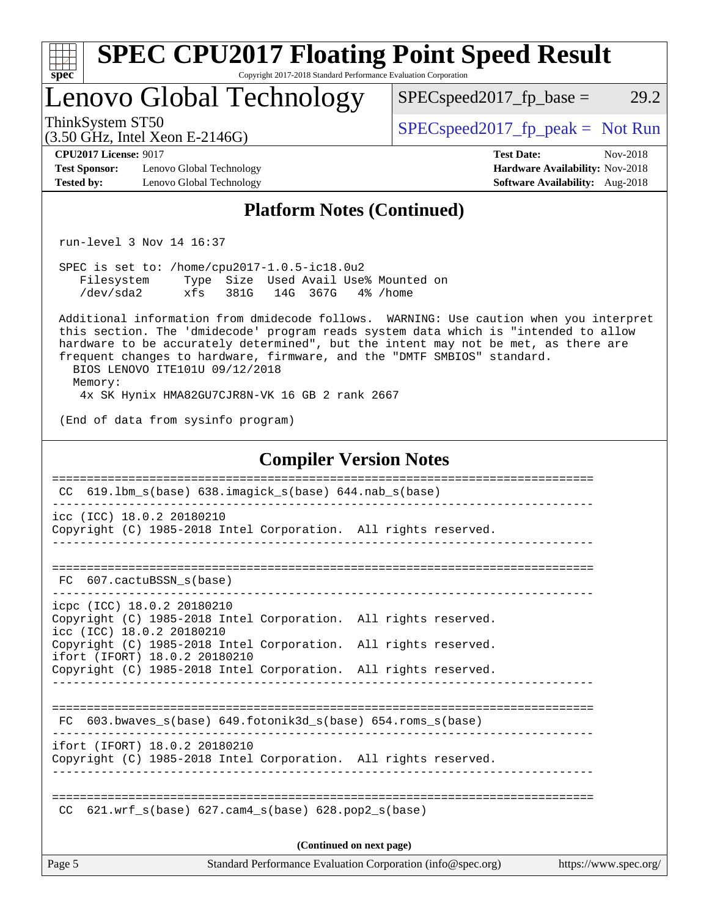| spec <sup>®</sup>                                                                                | <b>SPEC CPU2017 Floating Point Speed Result</b>                                                                                                                                                                                                                                                                 | Copyright 2017-2018 Standard Performance Evaluation Corporation |                          |                                     |                                                                                                |                       |
|--------------------------------------------------------------------------------------------------|-----------------------------------------------------------------------------------------------------------------------------------------------------------------------------------------------------------------------------------------------------------------------------------------------------------------|-----------------------------------------------------------------|--------------------------|-------------------------------------|------------------------------------------------------------------------------------------------|-----------------------|
|                                                                                                  | Lenovo Global Technology                                                                                                                                                                                                                                                                                        |                                                                 |                          | $SPEC speed2017fp base =$           |                                                                                                | 29.2                  |
| ThinkSystem ST50                                                                                 | $(3.50 \text{ GHz}, \text{Intel Xeon E-2146G})$                                                                                                                                                                                                                                                                 |                                                                 |                          | $SPEC speed2017_fp\_peak = Not Run$ |                                                                                                |                       |
| <b>CPU2017 License: 9017</b><br><b>Test Sponsor:</b><br><b>Tested by:</b>                        | Lenovo Global Technology<br>Lenovo Global Technology                                                                                                                                                                                                                                                            |                                                                 |                          |                                     | <b>Test Date:</b><br>Hardware Availability: Nov-2018<br><b>Software Availability:</b> Aug-2018 | Nov-2018              |
|                                                                                                  |                                                                                                                                                                                                                                                                                                                 | <b>Platform Notes (Continued)</b>                               |                          |                                     |                                                                                                |                       |
|                                                                                                  | run-level 3 Nov 14 16:37                                                                                                                                                                                                                                                                                        |                                                                 |                          |                                     |                                                                                                |                       |
|                                                                                                  | SPEC is set to: /home/cpu2017-1.0.5-ic18.0u2<br>Filesystem Type Size Used Avail Use% Mounted on<br>/dev/sda2 xfs 381G 14G 367G<br>Additional information from dmidecode follows. WARNING: Use caution when you interpret<br>this section. The 'dmidecode' program reads system data which is "intended to allow |                                                                 | 4% /home                 |                                     |                                                                                                |                       |
| Memory:                                                                                          | hardware to be accurately determined", but the intent may not be met, as there are<br>frequent changes to hardware, firmware, and the "DMTF SMBIOS" standard.<br>BIOS LENOVO ITE101U 09/12/2018                                                                                                                 |                                                                 |                          |                                     |                                                                                                |                       |
|                                                                                                  | 4x SK Hynix HMA82GU7CJR8N-VK 16 GB 2 rank 2667<br>(End of data from sysinfo program)                                                                                                                                                                                                                            |                                                                 |                          |                                     |                                                                                                |                       |
|                                                                                                  |                                                                                                                                                                                                                                                                                                                 | <b>Compiler Version Notes</b>                                   |                          |                                     |                                                                                                |                       |
|                                                                                                  | CC 619.1bm_s(base) 638.imagick_s(base) 644.nab_s(base)                                                                                                                                                                                                                                                          |                                                                 |                          |                                     |                                                                                                |                       |
|                                                                                                  | icc (ICC) 18.0.2 20180210<br>Copyright (C) 1985-2018 Intel Corporation. All rights reserved.                                                                                                                                                                                                                    |                                                                 |                          |                                     |                                                                                                |                       |
| FC.                                                                                              | 607.cactuBSSN s(base)                                                                                                                                                                                                                                                                                           |                                                                 |                          |                                     |                                                                                                |                       |
|                                                                                                  | icpc (ICC) 18.0.2 20180210<br>Copyright (C) 1985-2018 Intel Corporation. All rights reserved.<br>icc (ICC) 18.0.2 20180210                                                                                                                                                                                      |                                                                 |                          |                                     |                                                                                                |                       |
| Copyright (C) 1985-2018 Intel Corporation. All rights reserved.<br>ifort (IFORT) 18.0.2 20180210 |                                                                                                                                                                                                                                                                                                                 |                                                                 |                          |                                     |                                                                                                |                       |
|                                                                                                  | Copyright (C) 1985-2018 Intel Corporation. All rights reserved.                                                                                                                                                                                                                                                 |                                                                 |                          |                                     |                                                                                                |                       |
|                                                                                                  | FC 603.bwaves_s(base) 649.fotonik3d_s(base) 654.roms_s(base)                                                                                                                                                                                                                                                    |                                                                 |                          |                                     |                                                                                                |                       |
|                                                                                                  | ifort (IFORT) 18.0.2 20180210<br>Copyright (C) 1985-2018 Intel Corporation. All rights reserved.                                                                                                                                                                                                                |                                                                 |                          |                                     |                                                                                                |                       |
|                                                                                                  | $CC$ 621.wrf_s(base) 627.cam4_s(base) 628.pop2_s(base)                                                                                                                                                                                                                                                          |                                                                 |                          |                                     |                                                                                                |                       |
|                                                                                                  |                                                                                                                                                                                                                                                                                                                 |                                                                 | (Continued on next page) |                                     |                                                                                                |                       |
| Page 5                                                                                           |                                                                                                                                                                                                                                                                                                                 | Standard Performance Evaluation Corporation (info@spec.org)     |                          |                                     |                                                                                                | https://www.spec.org/ |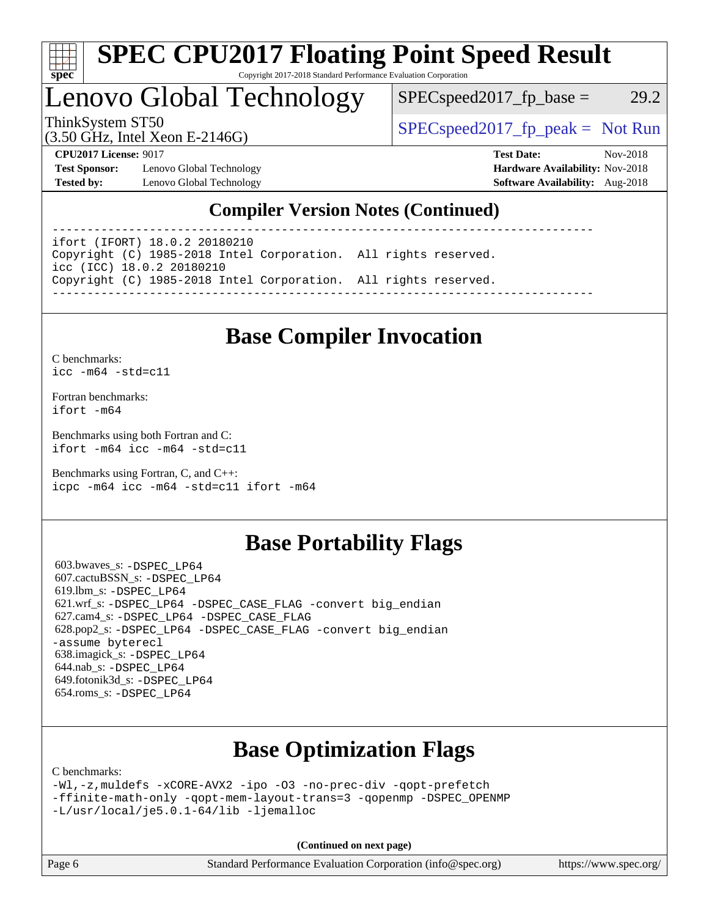

#### **[SPEC CPU2017 Floating Point Speed Result](http://www.spec.org/auto/cpu2017/Docs/result-fields.html#SPECCPU2017FloatingPointSpeedResult)** Copyright 2017-2018 Standard Performance Evaluation Corporation

## Lenovo Global Technology

 $SPEC speed2017_fp\_base = 29.2$ 

(3.50 GHz, Intel Xeon E-2146G)

ThinkSystem ST50  $SPEC speed2017$ \_fp\_peak = Not Run

**[Test Sponsor:](http://www.spec.org/auto/cpu2017/Docs/result-fields.html#TestSponsor)** Lenovo Global Technology **[Hardware Availability:](http://www.spec.org/auto/cpu2017/Docs/result-fields.html#HardwareAvailability)** Nov-2018 **[Tested by:](http://www.spec.org/auto/cpu2017/Docs/result-fields.html#Testedby)** Lenovo Global Technology **[Software Availability:](http://www.spec.org/auto/cpu2017/Docs/result-fields.html#SoftwareAvailability)** Aug-2018

**[CPU2017 License:](http://www.spec.org/auto/cpu2017/Docs/result-fields.html#CPU2017License)** 9017 **[Test Date:](http://www.spec.org/auto/cpu2017/Docs/result-fields.html#TestDate)** Nov-2018

### **[Compiler Version Notes \(Continued\)](http://www.spec.org/auto/cpu2017/Docs/result-fields.html#CompilerVersionNotes)**

----------------------------------------------------------------------------- ifort (IFORT) 18.0.2 20180210

Copyright (C) 1985-2018 Intel Corporation. All rights reserved. icc (ICC) 18.0.2 20180210 Copyright (C) 1985-2018 Intel Corporation. All rights reserved. ------------------------------------------------------------------------------

## **[Base Compiler Invocation](http://www.spec.org/auto/cpu2017/Docs/result-fields.html#BaseCompilerInvocation)**

[C benchmarks](http://www.spec.org/auto/cpu2017/Docs/result-fields.html#Cbenchmarks): [icc -m64 -std=c11](http://www.spec.org/cpu2017/results/res2018q4/cpu2017-20181126-09926.flags.html#user_CCbase_intel_icc_64bit_c11_33ee0cdaae7deeeab2a9725423ba97205ce30f63b9926c2519791662299b76a0318f32ddfffdc46587804de3178b4f9328c46fa7c2b0cd779d7a61945c91cd35)

[Fortran benchmarks](http://www.spec.org/auto/cpu2017/Docs/result-fields.html#Fortranbenchmarks): [ifort -m64](http://www.spec.org/cpu2017/results/res2018q4/cpu2017-20181126-09926.flags.html#user_FCbase_intel_ifort_64bit_24f2bb282fbaeffd6157abe4f878425411749daecae9a33200eee2bee2fe76f3b89351d69a8130dd5949958ce389cf37ff59a95e7a40d588e8d3a57e0c3fd751)

[Benchmarks using both Fortran and C](http://www.spec.org/auto/cpu2017/Docs/result-fields.html#BenchmarksusingbothFortranandC): [ifort -m64](http://www.spec.org/cpu2017/results/res2018q4/cpu2017-20181126-09926.flags.html#user_CC_FCbase_intel_ifort_64bit_24f2bb282fbaeffd6157abe4f878425411749daecae9a33200eee2bee2fe76f3b89351d69a8130dd5949958ce389cf37ff59a95e7a40d588e8d3a57e0c3fd751) [icc -m64 -std=c11](http://www.spec.org/cpu2017/results/res2018q4/cpu2017-20181126-09926.flags.html#user_CC_FCbase_intel_icc_64bit_c11_33ee0cdaae7deeeab2a9725423ba97205ce30f63b9926c2519791662299b76a0318f32ddfffdc46587804de3178b4f9328c46fa7c2b0cd779d7a61945c91cd35)

[Benchmarks using Fortran, C, and C++:](http://www.spec.org/auto/cpu2017/Docs/result-fields.html#BenchmarksusingFortranCandCXX) [icpc -m64](http://www.spec.org/cpu2017/results/res2018q4/cpu2017-20181126-09926.flags.html#user_CC_CXX_FCbase_intel_icpc_64bit_4ecb2543ae3f1412ef961e0650ca070fec7b7afdcd6ed48761b84423119d1bf6bdf5cad15b44d48e7256388bc77273b966e5eb805aefd121eb22e9299b2ec9d9) [icc -m64 -std=c11](http://www.spec.org/cpu2017/results/res2018q4/cpu2017-20181126-09926.flags.html#user_CC_CXX_FCbase_intel_icc_64bit_c11_33ee0cdaae7deeeab2a9725423ba97205ce30f63b9926c2519791662299b76a0318f32ddfffdc46587804de3178b4f9328c46fa7c2b0cd779d7a61945c91cd35) [ifort -m64](http://www.spec.org/cpu2017/results/res2018q4/cpu2017-20181126-09926.flags.html#user_CC_CXX_FCbase_intel_ifort_64bit_24f2bb282fbaeffd6157abe4f878425411749daecae9a33200eee2bee2fe76f3b89351d69a8130dd5949958ce389cf37ff59a95e7a40d588e8d3a57e0c3fd751)

### **[Base Portability Flags](http://www.spec.org/auto/cpu2017/Docs/result-fields.html#BasePortabilityFlags)**

 603.bwaves\_s: [-DSPEC\\_LP64](http://www.spec.org/cpu2017/results/res2018q4/cpu2017-20181126-09926.flags.html#suite_basePORTABILITY603_bwaves_s_DSPEC_LP64) 607.cactuBSSN\_s: [-DSPEC\\_LP64](http://www.spec.org/cpu2017/results/res2018q4/cpu2017-20181126-09926.flags.html#suite_basePORTABILITY607_cactuBSSN_s_DSPEC_LP64) 619.lbm\_s: [-DSPEC\\_LP64](http://www.spec.org/cpu2017/results/res2018q4/cpu2017-20181126-09926.flags.html#suite_basePORTABILITY619_lbm_s_DSPEC_LP64) 621.wrf\_s: [-DSPEC\\_LP64](http://www.spec.org/cpu2017/results/res2018q4/cpu2017-20181126-09926.flags.html#suite_basePORTABILITY621_wrf_s_DSPEC_LP64) [-DSPEC\\_CASE\\_FLAG](http://www.spec.org/cpu2017/results/res2018q4/cpu2017-20181126-09926.flags.html#b621.wrf_s_baseCPORTABILITY_DSPEC_CASE_FLAG) [-convert big\\_endian](http://www.spec.org/cpu2017/results/res2018q4/cpu2017-20181126-09926.flags.html#user_baseFPORTABILITY621_wrf_s_convert_big_endian_c3194028bc08c63ac5d04de18c48ce6d347e4e562e8892b8bdbdc0214820426deb8554edfa529a3fb25a586e65a3d812c835984020483e7e73212c4d31a38223) 627.cam4\_s: [-DSPEC\\_LP64](http://www.spec.org/cpu2017/results/res2018q4/cpu2017-20181126-09926.flags.html#suite_basePORTABILITY627_cam4_s_DSPEC_LP64) [-DSPEC\\_CASE\\_FLAG](http://www.spec.org/cpu2017/results/res2018q4/cpu2017-20181126-09926.flags.html#b627.cam4_s_baseCPORTABILITY_DSPEC_CASE_FLAG) 628.pop2\_s: [-DSPEC\\_LP64](http://www.spec.org/cpu2017/results/res2018q4/cpu2017-20181126-09926.flags.html#suite_basePORTABILITY628_pop2_s_DSPEC_LP64) [-DSPEC\\_CASE\\_FLAG](http://www.spec.org/cpu2017/results/res2018q4/cpu2017-20181126-09926.flags.html#b628.pop2_s_baseCPORTABILITY_DSPEC_CASE_FLAG) [-convert big\\_endian](http://www.spec.org/cpu2017/results/res2018q4/cpu2017-20181126-09926.flags.html#user_baseFPORTABILITY628_pop2_s_convert_big_endian_c3194028bc08c63ac5d04de18c48ce6d347e4e562e8892b8bdbdc0214820426deb8554edfa529a3fb25a586e65a3d812c835984020483e7e73212c4d31a38223) [-assume byterecl](http://www.spec.org/cpu2017/results/res2018q4/cpu2017-20181126-09926.flags.html#user_baseFPORTABILITY628_pop2_s_assume_byterecl_7e47d18b9513cf18525430bbf0f2177aa9bf368bc7a059c09b2c06a34b53bd3447c950d3f8d6c70e3faf3a05c8557d66a5798b567902e8849adc142926523472) 638.imagick\_s: [-DSPEC\\_LP64](http://www.spec.org/cpu2017/results/res2018q4/cpu2017-20181126-09926.flags.html#suite_basePORTABILITY638_imagick_s_DSPEC_LP64) 644.nab\_s: [-DSPEC\\_LP64](http://www.spec.org/cpu2017/results/res2018q4/cpu2017-20181126-09926.flags.html#suite_basePORTABILITY644_nab_s_DSPEC_LP64) 649.fotonik3d\_s: [-DSPEC\\_LP64](http://www.spec.org/cpu2017/results/res2018q4/cpu2017-20181126-09926.flags.html#suite_basePORTABILITY649_fotonik3d_s_DSPEC_LP64) 654.roms\_s: [-DSPEC\\_LP64](http://www.spec.org/cpu2017/results/res2018q4/cpu2017-20181126-09926.flags.html#suite_basePORTABILITY654_roms_s_DSPEC_LP64)

## **[Base Optimization Flags](http://www.spec.org/auto/cpu2017/Docs/result-fields.html#BaseOptimizationFlags)**

[C benchmarks](http://www.spec.org/auto/cpu2017/Docs/result-fields.html#Cbenchmarks):

```
-Wl,-z,muldefs -xCORE-AVX2 -ipo -O3 -no-prec-div -qopt-prefetch
-ffinite-math-only -qopt-mem-layout-trans=3 -qopenmp -DSPEC_OPENMP
-L/usr/local/je5.0.1-64/lib -ljemalloc
```
**(Continued on next page)**

| Page 6<br>Standard Performance Evaluation Corporation (info@spec.org) | https://www.spec.org/ |
|-----------------------------------------------------------------------|-----------------------|
|-----------------------------------------------------------------------|-----------------------|